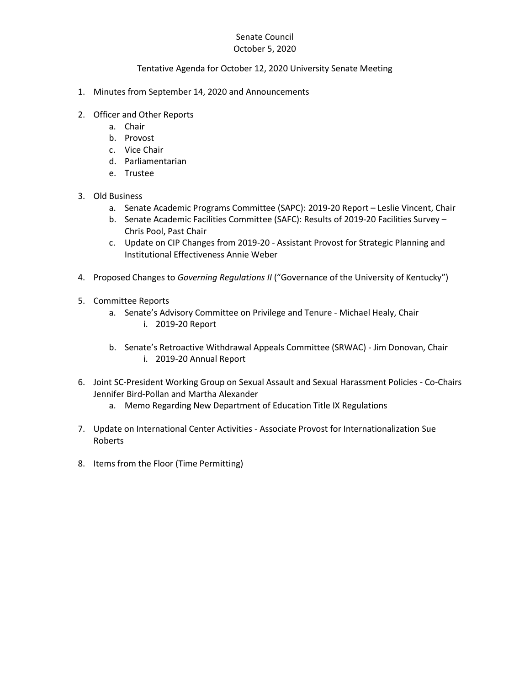## Senate Council October 5, 2020

## Tentative Agenda for October 12, 2020 University Senate Meeting

- 1. Minutes from September 14, 2020 and Announcements
- 2. Officer and Other Reports
	- a. Chair
	- b. Provost
	- c. Vice Chair
	- d. Parliamentarian
	- e. Trustee
- 3. Old Business
	- a. Senate Academic Programs Committee (SAPC): 2019-20 Report Leslie Vincent, Chair
	- b. Senate Academic Facilities Committee (SAFC): Results of 2019-20 Facilities Survey Chris Pool, Past Chair
	- c. Update on CIP Changes from 2019-20 Assistant Provost for Strategic Planning and Institutional Effectiveness Annie Weber
- 4. Proposed Changes to *Governing Regulations II* ("Governance of the University of Kentucky")
- 5. Committee Reports
	- a. Senate's Advisory Committee on Privilege and Tenure Michael Healy, Chair i. 2019-20 Report
	- b. Senate's Retroactive Withdrawal Appeals Committee (SRWAC) Jim Donovan, Chair i. 2019-20 Annual Report
- 6. Joint SC-President Working Group on Sexual Assault and Sexual Harassment Policies Co-Chairs Jennifer Bird-Pollan and Martha Alexander
	- a. Memo Regarding New Department of Education Title IX Regulations
- 7. Update on International Center Activities Associate Provost for Internationalization Sue Roberts
- 8. Items from the Floor (Time Permitting)